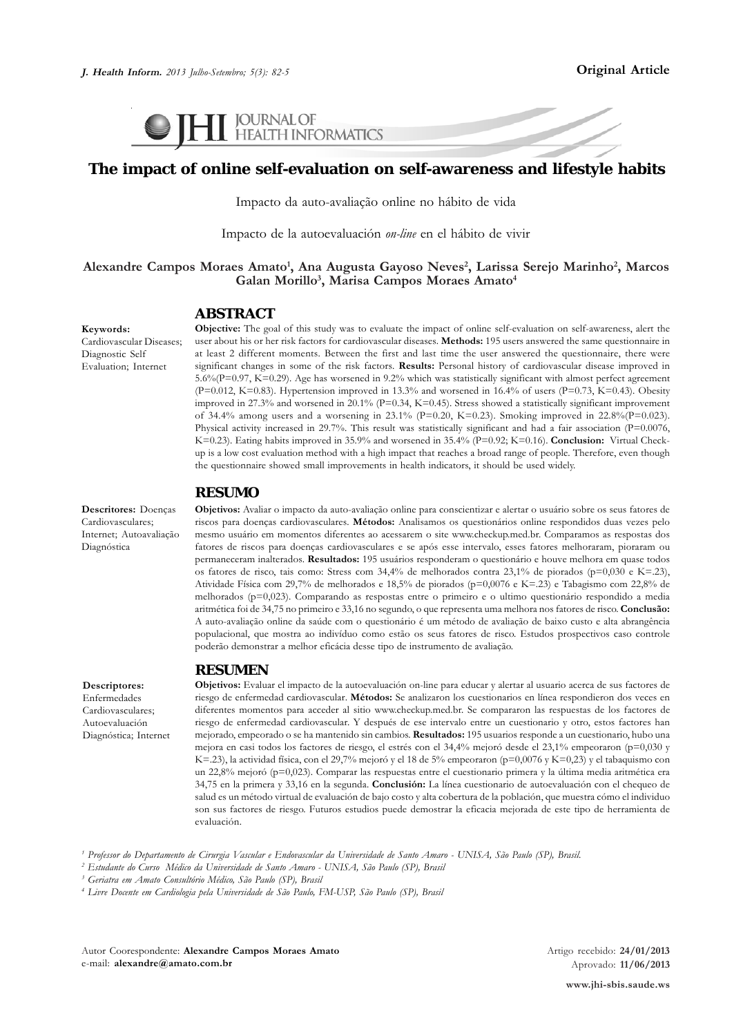

# **The impact of online self-evaluation on self-awareness and lifestyle habits**

Impacto da auto-avaliação online no hábito de vida

Impacto de la autoevaluación *on-line* en el hábito de vivir

### **Alexandre Campos Moraes Amato1 , Ana Augusta Gayoso Neves2 , Larissa Serejo Marinho2 , Marcos Galan Morillo3 , Marisa Campos Moraes Amato4**

#### **ABSTRACT**

**Objective:** The goal of this study was to evaluate the impact of online self-evaluation on self-awareness, alert the user about his or her risk factors for cardiovascular diseases. **Methods:** 195 users answered the same questionnaire in at least 2 different moments. Between the first and last time the user answered the questionnaire, there were significant changes in some of the risk factors. **Results:** Personal history of cardiovascular disease improved in 5.6%(P=0.97, K=0.29). Age has worsened in 9.2% which was statistically significant with almost perfect agreement  $(P=0.012, K=0.83)$ . Hypertension improved in 13.3% and worsened in 16.4% of users  $(P=0.73, K=0.43)$ . Obesity improved in 27.3% and worsened in 20.1% (P=0.34, K=0.45). Stress showed a statistically significant improvement of 34.4% among users and a worsening in 23.1% (P=0.20, K=0.23). Smoking improved in 22.8%(P=0.023). Physical activity increased in 29.7%. This result was statistically significant and had a fair association (P= $0.0076$ , K=0.23). Eating habits improved in 35.9% and worsened in 35.4% (P=0.92; K=0.16). **Conclusion:** Virtual Checkup is a low cost evaluation method with a high impact that reaches a broad range of people. Therefore, even though the questionnaire showed small improvements in health indicators, it should be used widely.

#### **RESUMO**

**Descritores:** Doenças Cardiovasculares; Internet; Autoavaliação Diagnóstica

**Keywords:**

Cardiovascular Diseases; Diagnostic Self Evaluation; Internet

> **Objetivos:** Avaliar o impacto da auto-avaliação online para conscientizar e alertar o usuário sobre os seus fatores de riscos para doenças cardiovasculares. **Métodos:** Analisamos os questionários online respondidos duas vezes pelo mesmo usuário em momentos diferentes ao acessarem o site www.checkup.med.br. Comparamos as respostas dos fatores de riscos para doenças cardiovasculares e se após esse intervalo, esses fatores melhoraram, pioraram ou permaneceram inalterados. **Resultados:** 195 usuários responderam o questionário e houve melhora em quase todos os fatores de risco, tais como: Stress com 34,4% de melhorados contra 23,1% de piorados (p=0,030 e K=.23), Atividade Física com 29,7% de melhorados e 18,5% de piorados (p=0,0076 e K=.23) e Tabagismo com 22,8% de melhorados (p=0,023). Comparando as respostas entre o primeiro e o ultimo questionário respondido a media aritmética foi de 34,75 no primeiro e 33,16 no segundo, o que representa uma melhora nos fatores de risco. **Conclusão:** A auto-avaliação online da saúde com o questionário é um método de avaliação de baixo custo e alta abrangência populacional, que mostra ao indivíduo como estão os seus fatores de risco. Estudos prospectivos caso controle poderão demonstrar a melhor eficácia desse tipo de instrumento de avaliação.

## **RESUMEN**

**Descriptores:** Enfermedades Cardiovasculares; Autoevaluación Diagnóstica; Internet **Objetivos:** Evaluar el impacto de la autoevaluación on-line para educar y alertar al usuario acerca de sus factores de riesgo de enfermedad cardiovascular. **Métodos:** Se analizaron los cuestionarios en línea respondieron dos veces en diferentes momentos para acceder al sitio www.checkup.med.br. Se compararon las respuestas de los factores de riesgo de enfermedad cardiovascular. Y después de ese intervalo entre un cuestionario y otro, estos factores han mejorado, empeorado o se ha mantenido sin cambios. **Resultados:** 195 usuarios responde a un cuestionario, hubo una mejora en casi todos los factores de riesgo, el estrés con el 34,4% mejoró desde el 23,1% empeoraron (p=0,030 y K=.23), la actividad física, con el 29,7% mejoró y el 18 de 5% empeoraron (p=0,0076 y K=0,23) y el tabaquismo con un 22,8% mejoró (p=0,023). Comparar las respuestas entre el cuestionario primera y la última media aritmética era 34,75 en la primera y 33,16 en la segunda. **Conclusión:** La línea cuestionario de autoevaluación con el chequeo de salud es un método virtual de evaluación de bajo costo y alta cobertura de la población, que muestra cómo el individuo son sus factores de riesgo. Futuros estudios puede demostrar la eficacia mejorada de este tipo de herramienta de evaluación.

*1 Professor do Departamento de Cirurgia Vascular e Endovascular da Universidade de Santo Amaro - UNISA, São Paulo (SP), Brasil.*

*2 Estudante do Curso Médico da Universidade de Santo Amaro - UNISA, São Paulo (SP), Brasil*

*3 Geriatra em Amato Consultório Médico, São Paulo (SP), Brasil*

*4 Livre Docente em Cardiologia pela Universidade de São Paulo, FM-USP, São Paulo (SP), Brasil*

Autor Coorespondente: **Alexandre Campos Moraes Amato** e-mail: **alexandre@amato.com.br**

Artigo recebido: **24/01/2013** Aprovado: **11/06/2013**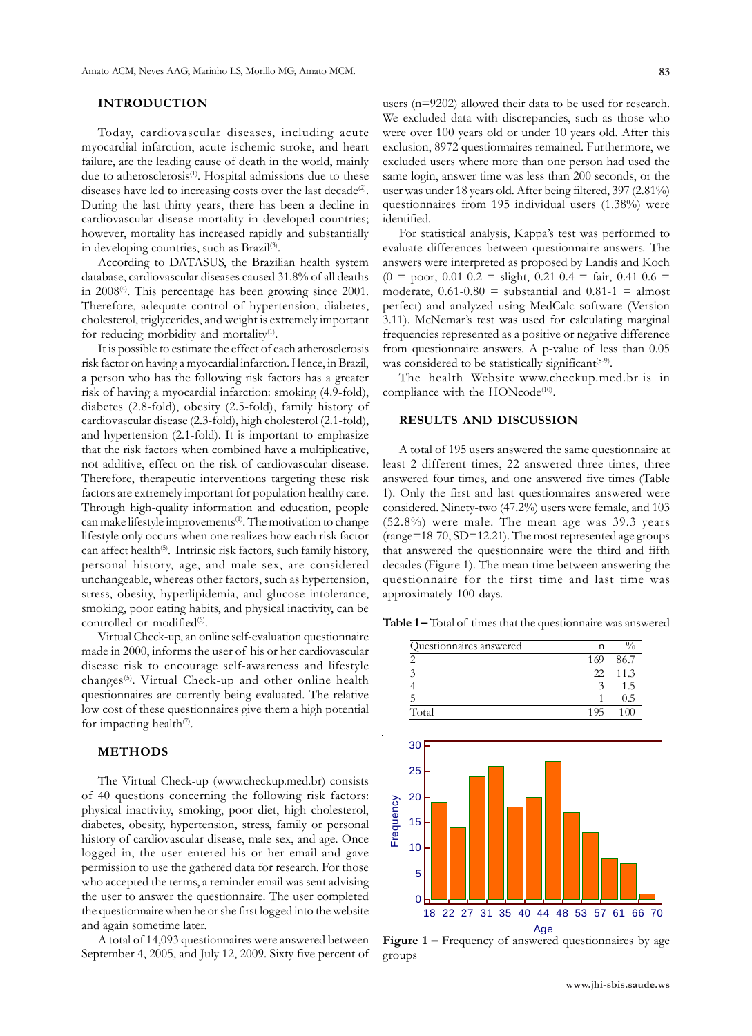### **INTRODUCTION**

Today, cardiovascular diseases, including acute myocardial infarction, acute ischemic stroke, and heart failure, are the leading cause of death in the world, mainly due to atherosclerosis<sup>(1)</sup>. Hospital admissions due to these diseases have led to increasing costs over the last decade<sup>(2)</sup>. During the last thirty years, there has been a decline in cardiovascular disease mortality in developed countries; however, mortality has increased rapidly and substantially in developing countries, such as Brazil<sup>(3)</sup>.

According to DATASUS, the Brazilian health system database, cardiovascular diseases caused 31.8% of all deaths in 2008<sup>(4)</sup>. This percentage has been growing since 2001. Therefore, adequate control of hypertension, diabetes, cholesterol, triglycerides, and weight is extremely important for reducing morbidity and mortality<sup>(1)</sup>.

It is possible to estimate the effect of each atherosclerosis risk factor on having a myocardial infarction. Hence, in Brazil, a person who has the following risk factors has a greater risk of having a myocardial infarction: smoking (4.9-fold), diabetes (2.8-fold), obesity (2.5-fold), family history of cardiovascular disease (2.3-fold), high cholesterol (2.1-fold), and hypertension (2.1-fold). It is important to emphasize that the risk factors when combined have a multiplicative, not additive, effect on the risk of cardiovascular disease. Therefore, therapeutic interventions targeting these risk factors are extremely important for population healthy care. Through high-quality information and education, people can make lifestyle improvements<sup>(1)</sup>. The motivation to change lifestyle only occurs when one realizes how each risk factor can affect health<sup>(5)</sup>. Intrinsic risk factors, such family history, personal history, age, and male sex, are considered unchangeable, whereas other factors, such as hypertension, stress, obesity, hyperlipidemia, and glucose intolerance, smoking, poor eating habits, and physical inactivity, can be controlled or modified<sup>(6)</sup>.

Virtual Check-up, an online self-evaluation questionnaire made in 2000, informs the user of his or her cardiovascular disease risk to encourage self-awareness and lifestyle changes(5). Virtual Check-up and other online health questionnaires are currently being evaluated. The relative low cost of these questionnaires give them a high potential for impacting health $\sqrt{7}$ .

#### **METHODS**

The Virtual Check-up (www.checkup.med.br) consists of 40 questions concerning the following risk factors: physical inactivity, smoking, poor diet, high cholesterol, diabetes, obesity, hypertension, stress, family or personal history of cardiovascular disease, male sex, and age. Once logged in, the user entered his or her email and gave permission to use the gathered data for research. For those who accepted the terms, a reminder email was sent advising the user to answer the questionnaire. The user completed the questionnaire when he or she first logged into the website and again sometime later.

A total of 14,093 questionnaires were answered between September 4, 2005, and July 12, 2009. Sixty five percent of

users (n=9202) allowed their data to be used for research. We excluded data with discrepancies, such as those who were over 100 years old or under 10 years old. After this exclusion, 8972 questionnaires remained. Furthermore, we excluded users where more than one person had used the same login, answer time was less than 200 seconds, or the user was under 18 years old. After being filtered, 397 (2.81%) questionnaires from 195 individual users (1.38%) were identified.

For statistical analysis, Kappa's test was performed to evaluate differences between questionnaire answers. The answers were interpreted as proposed by Landis and Koch  $(0 = poor, 0.01-0.2 = slight, 0.21-0.4 = fair, 0.41-0.6 =$ moderate,  $0.61-0.80$  = substantial and  $0.81-1$  = almost perfect) and analyzed using MedCalc software (Version 3.11). McNemar's test was used for calculating marginal frequencies represented as a positive or negative difference from questionnaire answers. A p-value of less than 0.05 was considered to be statistically significant<sup>(8-9)</sup>.

The health Website www.checkup.med.br is in compliance with the HONcode<sup>(10)</sup>.

#### **RESULTS AND DISCUSSION**

A total of 195 users answered the same questionnaire at least 2 different times, 22 answered three times, three answered four times, and one answered five times (Table 1). Only the first and last questionnaires answered were considered. Ninety-two (47.2%) users were female, and 103 (52.8%) were male. The mean age was 39.3 years (range=18-70, SD=12.21). The most represented age groups that answered the questionnaire were the third and fifth decades (Figure 1). The mean time between answering the questionnaire for the first time and last time was approximately 100 days.

**Table 1 –** Total of times that the questionnaire was answered



**Figure 1 –** Frequency of answered questionnaires by age groups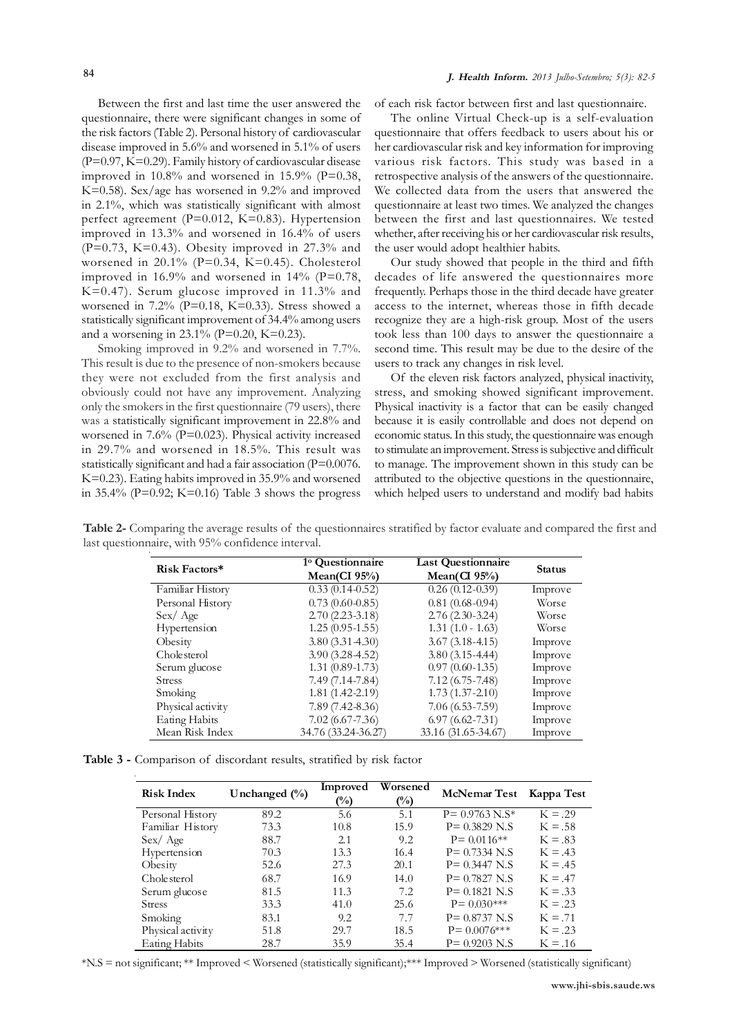Between the first and last time the user answered the questionnaire, there were significant changes in some of the risk factors (Table 2). Personal history of cardiovascular disease improved in 5.6% and worsened in 5.1% of users (P=0.97, K=0.29). Family history of cardiovascular disease improved in  $10.8\%$  and worsened in  $15.9\%$  (P=0.38, K=0.58). Sex/age has worsened in 9.2% and improved in 2.1%, which was statistically significant with almost perfect agreement (P=0.012, K=0.83). Hypertension improved in 13.3% and worsened in 16.4% of users  $(P=0.73, K=0.43)$ . Obesity improved in 27.3% and worsened in 20.1% (P=0.34, K=0.45). Cholesterol improved in  $16.9\%$  and worsened in  $14\%$  (P=0.78, K=0.47). Serum glucose improved in 11.3% and worsened in 7.2% (P=0.18, K=0.33). Stress showed a statistically significant improvement of 34.4% among users and a worsening in  $23.1\%$  (P=0.20, K=0.23).

Smoking improved in 9.2% and worsened in 7.7%. This result is due to the presence of non-smokers because they were not excluded from the first analysis and obviously could not have any improvement. Analyzing only the smokers in the first questionnaire (79 users), there was a statistically significant improvement in 22.8% and worsened in 7.6% (P=0.023). Physical activity increased in 29.7% and worsened in 18.5%. This result was statistically significant and had a fair association (P=0.0076. K=0.23). Eating habits improved in 35.9% and worsened in 35.4% ( $P=0.92$ ; K=0.16) Table 3 shows the progress

of each risk factor between first and last questionnaire.

The online Virtual Check-up is a self-evaluation questionnaire that offers feedback to users about his or her cardiovascular risk and key information for improving various risk factors. This study was based in a retrospective analysis of the answers of the questionnaire. We collected data from the users that answered the questionnaire at least two times. We analyzed the changes between the first and last questionnaires. We tested whether, after receiving his or her cardiovascular risk results, the user would adopt healthier habits.

Our study showed that people in the third and fifth decades of life answered the questionnaires more frequently. Perhaps those in the third decade have greater access to the internet, whereas those in fifth decade recognize they are a high-risk group. Most of the users took less than 100 days to answer the questionnaire a second time. This result may be due to the desire of the users to track any changes in risk level.

Of the eleven risk factors analyzed, physical inactivity, stress, and smoking showed significant improvement. Physical inactivity is a factor that can be easily changed because it is easily controllable and does not depend on economic status. In this study, the questionnaire was enough to stimulate an improvement. Stress is subjective and difficult to manage. The improvement shown in this study can be attributed to the objective questions in the questionnaire, which helped users to understand and modify bad habits

| Risk Factors*     | <sup>1</sup> <sup>o</sup> Questionnaire<br>Mean(CI $95\%$ ) | <b>Last Questionnaire</b><br>Mean(CI $95\%$ ) | <b>Status</b> |
|-------------------|-------------------------------------------------------------|-----------------------------------------------|---------------|
| Familiar History  | $0.33(0.14-0.52)$                                           | $0.26(0.12-0.39)$                             | Improve       |
| Personal History  | $0.73(0.60-0.85)$                                           | $0.81(0.68-0.94)$                             | Worse         |
| Sex/Age           | $2.70(2.23-3.18)$                                           | $2.76(2.30-3.24)$                             | Worse         |
| Hypertension      | $1.25(0.95-1.55)$                                           | $1.31(1.0 - 1.63)$                            | Worse         |
| Obesity           | 3.80(3.314.30)                                              | $3.67(3.18-4.15)$                             | Improve       |
| Chole sterol      | $3.90(3.28-4.52)$                                           | $3.80(3.15-4.44)$                             | Improve       |
| Serum glucose     | $1.31(0.89-1.73)$                                           | $0.97(0.60-1.35)$                             | Improve       |
| <b>Stress</b>     | 7.49 (7.14-7.84)                                            | $7.12(6.75 - 7.48)$                           | Improve       |
| Smoking           | $1.81(1.42 - 2.19)$                                         | $1.73(1.37 - 2.10)$                           | Improve       |
| Physical activity | $7.89(7.42 - 8.36)$                                         | $7.06(6.53 - 7.59)$                           | Improve       |
| Eating Habits     | $7.02(6.67 - 7.36)$                                         | $6.97(6.62 - 7.31)$                           | Improve       |
| Mean Risk Index   | 34.76 (33.24-36.27)                                         | 33.16 (31.65-34.67)                           | Improve       |

**Table 2-** Comparing the average results of the questionnaires stratified by factor evaluate and compared the first and last questionnaire, with 95% confidence interval.

**Table 3 -** Comparison of discordant results, stratified by risk factor

| <b>Risk Index</b> | Unchanged $(\%)$ | Improved<br>$\binom{0}{0}$ | Worsened<br>$\binom{0}{0}$ | McNemar Test Kappa Test |           |
|-------------------|------------------|----------------------------|----------------------------|-------------------------|-----------|
| Personal History  | 89.2             | 5.6                        | 5.1                        | $P = 0.9763 N.S*$       | $K = .29$ |
| Familiar History  | 73.3             | 10.8                       | 15.9                       | $P = 0.3829$ N.S        | $K = .58$ |
| Sex / Age         | 88.7             | 2.1                        | 9.2                        | $P = 0.0116**$          | $K = .83$ |
| Hypertension      | 70.3             | 13.3                       | 16.4                       | $P = 0.7334$ N.S        | $K = .43$ |
| Obesity           | 52.6             | 27.3                       | 20.1                       | $P = 0.3447$ N.S        | $K = .45$ |
| Chole sterol      | 68.7             | 16.9                       | 14.0                       | $P = 0.7827$ N.S        | $K = .47$ |
| Serum glucose     | 81.5             | 11.3                       | 7.2                        | $P = 0.1821$ N.S        | $K = .33$ |
| <b>Stress</b>     | 33.3             | 41.0                       | 25.6                       | $P = 0.030***$          | $K = .23$ |
| Smoking           | 83.1             | 9.2                        | 7.7                        | $P = 0.8737 N.S$        | $K = .71$ |
| Physical activity | 51.8             | 29.7                       | 18.5                       | $P = 0.0076$ ***        | $K = .23$ |
| Eating Habits     | 28.7             | 35.9                       | 35.4                       | $P = 0.9203$ N.S        | $K = .16$ |

\*N.S = not significant; \*\* Improved < Worsened (statistically significant);\*\*\* Improved > Worsened (statistically significant)